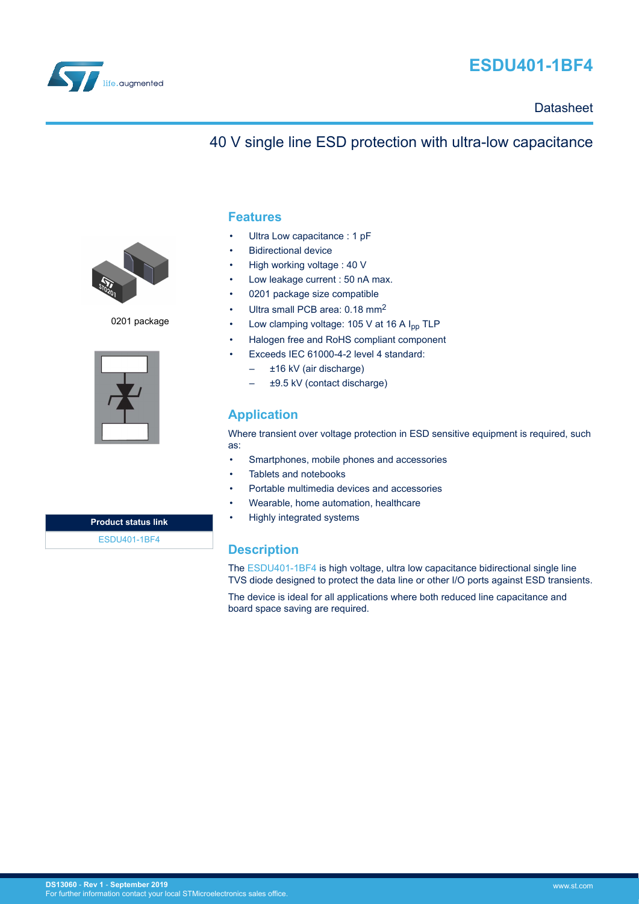

# **ESDU401-1BF4**

**Datasheet** 

## 40 V single line ESD protection with ultra-low capacitance



0201 package



**Product status link** [ESDU401-1BF4](https://www.st.com/en/product/esdu401-1bf4?ecmp=tt9470_gl_link_feb2019&rt=ds&id=DS13060)

### **Features**

- Ultra Low capacitance : 1 pF
- **Bidirectional device**
- High working voltage : 40 V
- Low leakage current : 50 nA max.
- 0201 package size compatible
- Ultra small PCB area: 0.18 mm<sup>2</sup>
- Low clamping voltage: 105 V at 16 A I<sub>pp</sub> TLP
- Halogen free and RoHS compliant component
- Exceeds IEC 61000-4-2 level 4 standard:
	- ±16 kV (air discharge)
	- ±9.5 kV (contact discharge)

## **Application**

Where transient over voltage protection in ESD sensitive equipment is required, such as:

- Smartphones, mobile phones and accessories
- Tablets and notebooks
- Portable multimedia devices and accessories
- Wearable, home automation, healthcare
- Highly integrated systems

## **Description**

The [ESDU401-1BF4](https://www.st.com/en/product/esdu401-1bf4?ecmp=tt9470_gl_link_feb2019&rt=ds&id=DS13060) is high voltage, ultra low capacitance bidirectional single line TVS diode designed to protect the data line or other I/O ports against ESD transients.

The device is ideal for all applications where both reduced line capacitance and board space saving are required.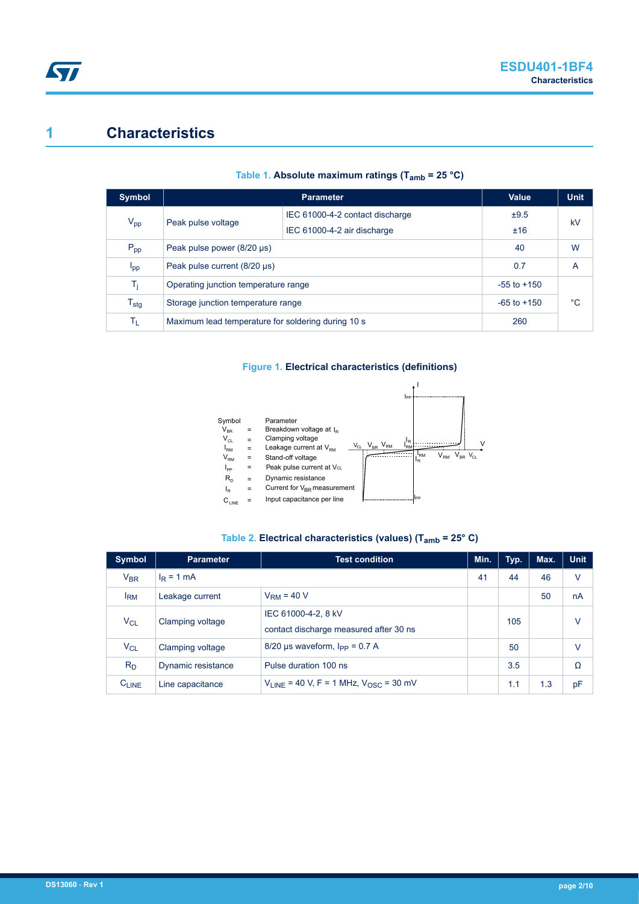# **1 Characteristics**

| Symbol                      |                                                    | Value                           | <b>Unit</b> |    |  |
|-----------------------------|----------------------------------------------------|---------------------------------|-------------|----|--|
| $V_{\text{pp}}$             | Peak pulse voltage                                 | IEC 61000-4-2 contact discharge | ±9.5        |    |  |
|                             |                                                    | IEC 61000-4-2 air discharge     | ±16         | kV |  |
| $P_{\text{pp}}$             | Peak pulse power (8/20 µs)                         | 40                              | W           |    |  |
| I <sub>pp</sub>             | Peak pulse current (8/20 µs)                       | 0.7                             | A           |    |  |
| Tj                          | Operating junction temperature range               | $-55$ to $+150$                 |             |    |  |
| $\mathsf{T}_{\textsf{stg}}$ | Storage junction temperature range                 | $-65$ to $+150$                 | $^{\circ}C$ |    |  |
| ΤL                          | Maximum lead temperature for soldering during 10 s | 260                             |             |    |  |

#### **Table 1. Absolute maximum ratings (Tamb = 25 °C)**

### **Figure 1. Electrical characteristics (definitions)**



### **Table 2. Electrical characteristics (values) (Tamb = 25° C)**

| <b>Symbol</b>   | <b>Parameter</b>   | <b>Test condition</b>                                         | Min. | Typ. | Max. | <b>Unit</b> |
|-----------------|--------------------|---------------------------------------------------------------|------|------|------|-------------|
| $V_{BR}$        | $I_R = 1$ mA       |                                                               | 41   | 44   | 46   | v           |
| I <sub>RM</sub> | Leakage current    | $VRM = 40 V$                                                  |      |      | 50   | nA          |
| $V_{CL}$        | Clamping voltage   | IEC 61000-4-2, 8 kV<br>contact discharge measured after 30 ns |      | 105  |      | V           |
| $V_{CL}$        | Clamping voltage   | $8/20$ µs waveform, $I_{PP} = 0.7$ A                          |      | 50   |      | V           |
| $R_D$           | Dynamic resistance | Pulse duration 100 ns                                         |      | 3.5  |      | Ω           |
| $C_{LINE}$      | Line capacitance   | $V_{LINE}$ = 40 V, F = 1 MHz, $V_{OSC}$ = 30 mV               |      | 1.1  | 1.3  | pF          |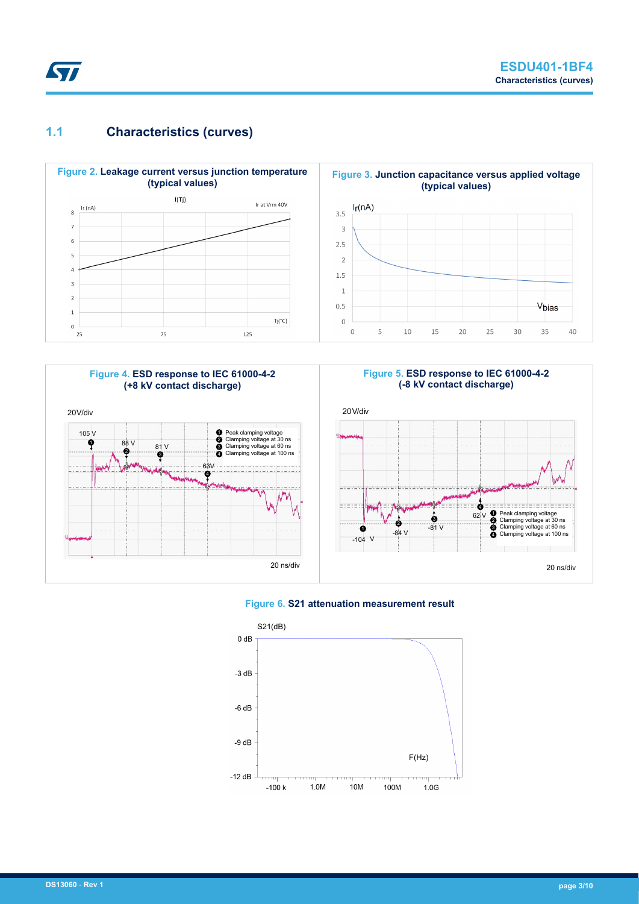

**ST** 







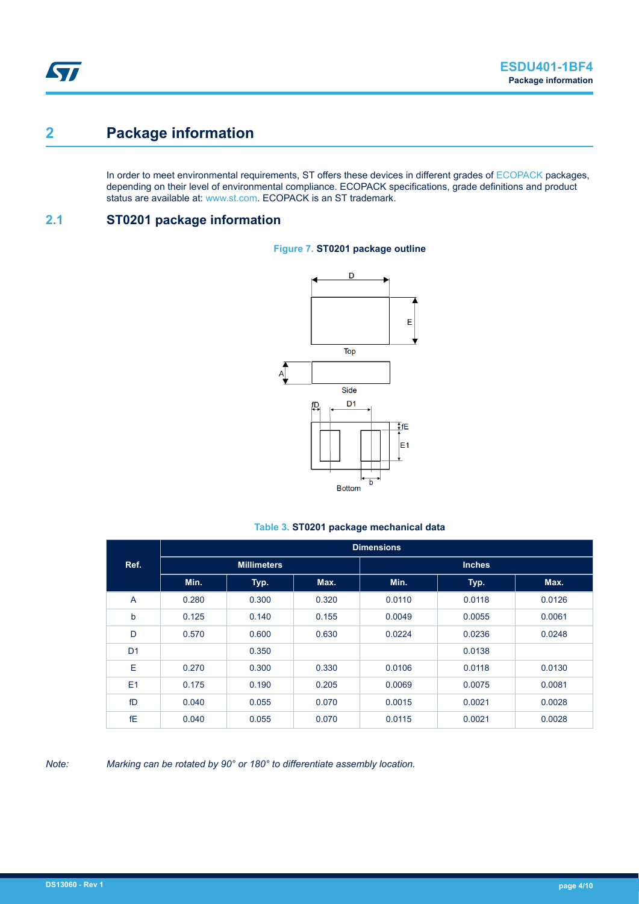# **2 Package information**

In order to meet environmental requirements, ST offers these devices in different grades of [ECOPACK](https://www.st.com/ecopack) packages, depending on their level of environmental compliance. ECOPACK specifications, grade definitions and product status are available at: [www.st.com.](http://www.st.com) ECOPACK is an ST trademark.

## **2.1 ST0201 package information**



#### **Figure 7. ST0201 package outline**

### **Table 3. ST0201 package mechanical data**

|                | <b>Dimensions</b>  |       |       |               |        |        |  |
|----------------|--------------------|-------|-------|---------------|--------|--------|--|
| Ref.           | <b>Millimeters</b> |       |       | <b>Inches</b> |        |        |  |
|                | Min.               | Typ.  | Max.  | Min.          | Typ.   | Max.   |  |
| A              | 0.280              | 0.300 | 0.320 | 0.0110        | 0.0118 | 0.0126 |  |
| b              | 0.125              | 0.140 | 0.155 | 0.0049        | 0.0055 | 0.0061 |  |
| D              | 0.570              | 0.600 | 0.630 | 0.0224        | 0.0236 | 0.0248 |  |
| D <sub>1</sub> |                    | 0.350 |       |               | 0.0138 |        |  |
| Е              | 0.270              | 0.300 | 0.330 | 0.0106        | 0.0118 | 0.0130 |  |
| E <sub>1</sub> | 0.175              | 0.190 | 0.205 | 0.0069        | 0.0075 | 0.0081 |  |
| fD             | 0.040              | 0.055 | 0.070 | 0.0015        | 0.0021 | 0.0028 |  |
| fE             | 0.040              | 0.055 | 0.070 | 0.0115        | 0.0021 | 0.0028 |  |

#### *Note: Marking can be rotated by 90° or 180° to differentiate assembly location.*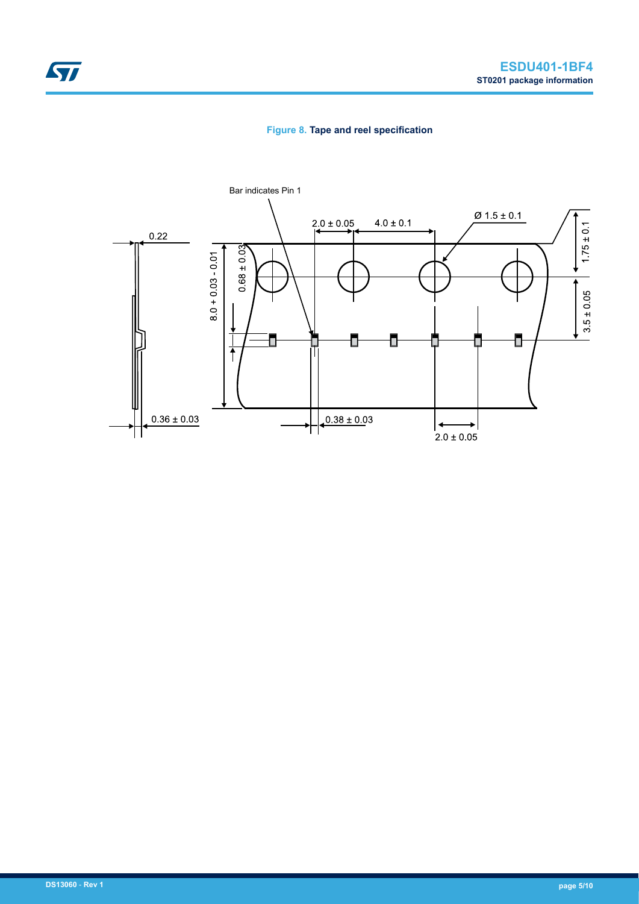### **Figure 8. Tape and reel specification**

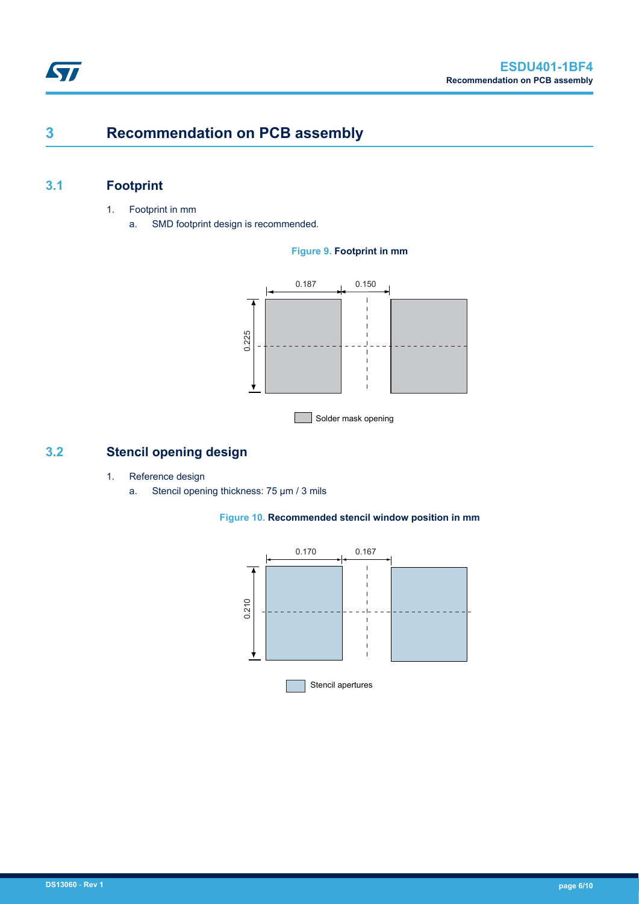# **3 Recommendation on PCB assembly**

## **3.1 Footprint**

- 1. Footprint in mm
	- a. SMD footprint design is recommended.

#### **Figure 9. Footprint in mm**



Solder mask opening

## **3.2 Stencil opening design**

- 1. Reference design
	- a. Stencil opening thickness: 75 μm / 3 mils



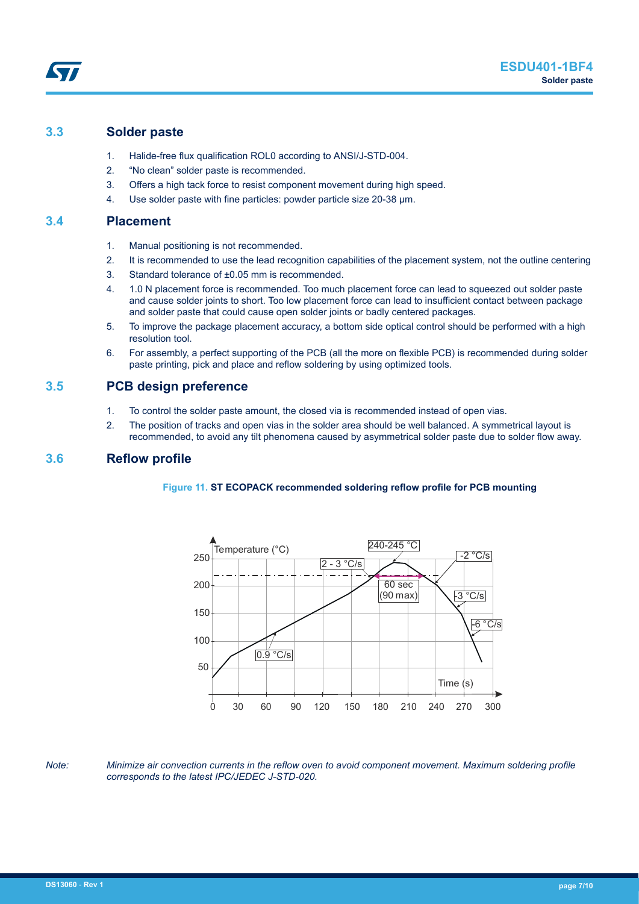### **3.3 Solder paste**

57

- 1. Halide-free flux qualification ROL0 according to ANSI/J-STD-004.
- 2. "No clean" solder paste is recommended.
- 3. Offers a high tack force to resist component movement during high speed.
- 4. Use solder paste with fine particles: powder particle size 20-38 µm.

### **3.4 Placement**

- 1. Manual positioning is not recommended.
- 2. It is recommended to use the lead recognition capabilities of the placement system, not the outline centering
- 3. Standard tolerance of ±0.05 mm is recommended.
- 4. 1.0 N placement force is recommended. Too much placement force can lead to squeezed out solder paste and cause solder joints to short. Too low placement force can lead to insufficient contact between package and solder paste that could cause open solder joints or badly centered packages.
- 5. To improve the package placement accuracy, a bottom side optical control should be performed with a high resolution tool.
- 6. For assembly, a perfect supporting of the PCB (all the more on flexible PCB) is recommended during solder paste printing, pick and place and reflow soldering by using optimized tools.

### **3.5 PCB design preference**

- 1. To control the solder paste amount, the closed via is recommended instead of open vias.
- 2. The position of tracks and open vias in the solder area should be well balanced. A symmetrical layout is recommended, to avoid any tilt phenomena caused by asymmetrical solder paste due to solder flow away.

#### **3.6 Reflow profile**

#### **Figure 11. ST ECOPACK recommended soldering reflow profile for PCB mounting**



*Note: Minimize air convection currents in the reflow oven to avoid component movement. Maximum soldering profile corresponds to the latest IPC/JEDEC J-STD-020.*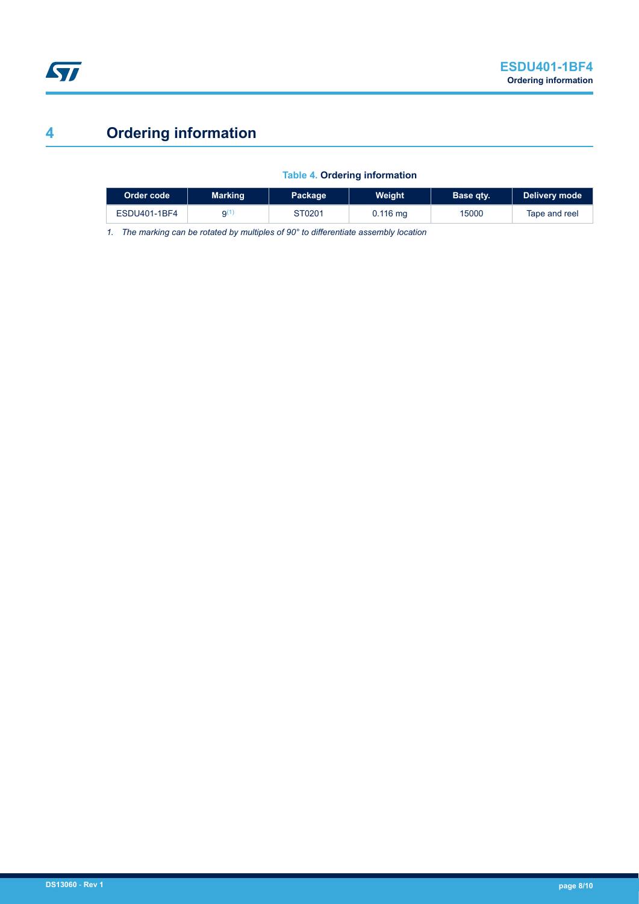# **4 Ordering information**

## **Table 4. Ordering information**

| Order code   | <b>Marking</b> | Package | Weight             | Base qty. | Delivery mode |
|--------------|----------------|---------|--------------------|-----------|---------------|
| ESDU401-1BF4 | g(ʻ            | ST0201  | $0.116 \text{ mg}$ | 15000     | Tape and reel |

*1. The marking can be rotated by multiples of 90° to differentiate assembly location*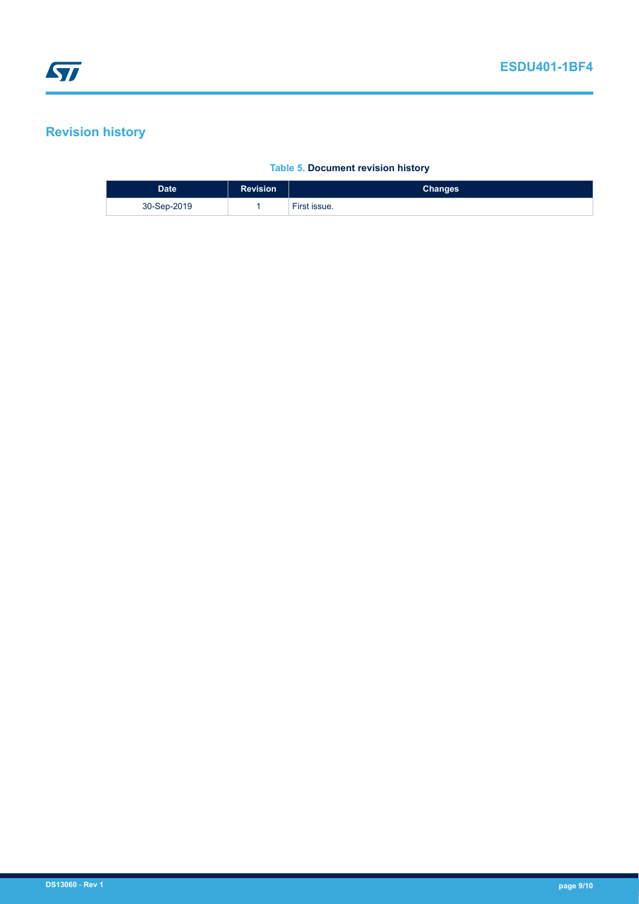# **Revision history**

### **Table 5. Document revision history**

| Date <sup>'</sup> | <b>Revision</b> | <b>Changes</b> |
|-------------------|-----------------|----------------|
| 30-Sep-2019       |                 | First issue.   |